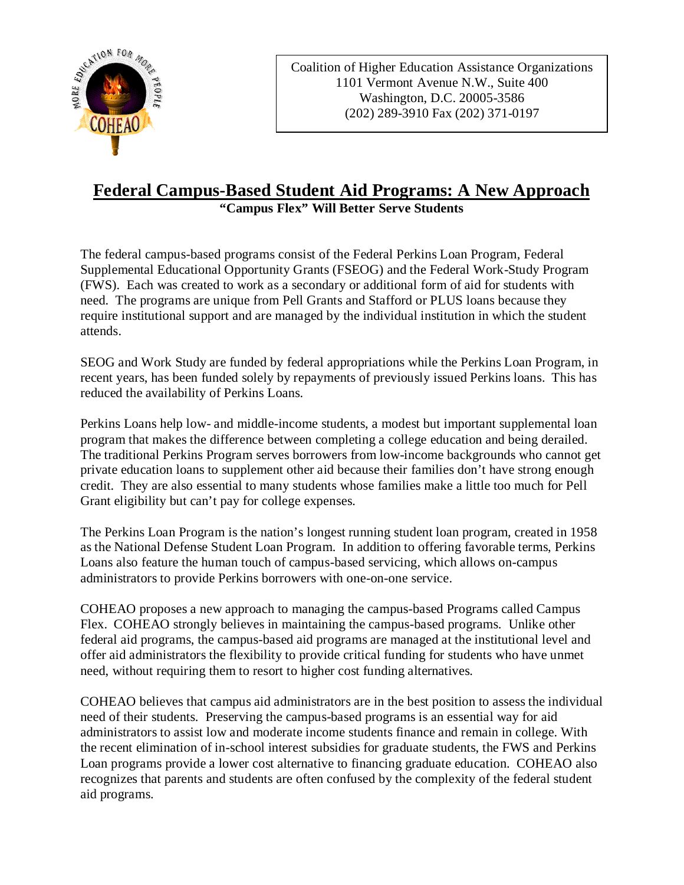

Coalition of Higher Education Assistance Organizations 1101 Vermont Avenue N.W., Suite 400 Washington, D.C. 20005-3586 (202) 289-3910 Fax (202) 371-0197

## **Federal Campus-Based Student Aid Programs: A New Approach "Campus Flex" Will Better Serve Students**

The federal campus-based programs consist of the Federal Perkins Loan Program, Federal Supplemental Educational Opportunity Grants (FSEOG) and the Federal Work-Study Program (FWS). Each was created to work as a secondary or additional form of aid for students with need. The programs are unique from Pell Grants and Stafford or PLUS loans because they require institutional support and are managed by the individual institution in which the student attends.

SEOG and Work Study are funded by federal appropriations while the Perkins Loan Program, in recent years, has been funded solely by repayments of previously issued Perkins loans. This has reduced the availability of Perkins Loans.

Perkins Loans help low- and middle-income students, a modest but important supplemental loan program that makes the difference between completing a college education and being derailed. The traditional Perkins Program serves borrowers from low-income backgrounds who cannot get private education loans to supplement other aid because their families don't have strong enough credit. They are also essential to many students whose families make a little too much for Pell Grant eligibility but can't pay for college expenses.

The Perkins Loan Program is the nation's longest running student loan program, created in 1958 as the National Defense Student Loan Program. In addition to offering favorable terms, Perkins Loans also feature the human touch of campus-based servicing, which allows on-campus administrators to provide Perkins borrowers with one-on-one service.

COHEAO proposes a new approach to managing the campus-based Programs called Campus Flex. COHEAO strongly believes in maintaining the campus-based programs. Unlike other federal aid programs, the campus-based aid programs are managed at the institutional level and offer aid administrators the flexibility to provide critical funding for students who have unmet need, without requiring them to resort to higher cost funding alternatives.

COHEAO believes that campus aid administrators are in the best position to assess the individual need of their students. Preserving the campus-based programs is an essential way for aid administrators to assist low and moderate income students finance and remain in college. With the recent elimination of in-school interest subsidies for graduate students, the FWS and Perkins Loan programs provide a lower cost alternative to financing graduate education. COHEAO also recognizes that parents and students are often confused by the complexity of the federal student aid programs.